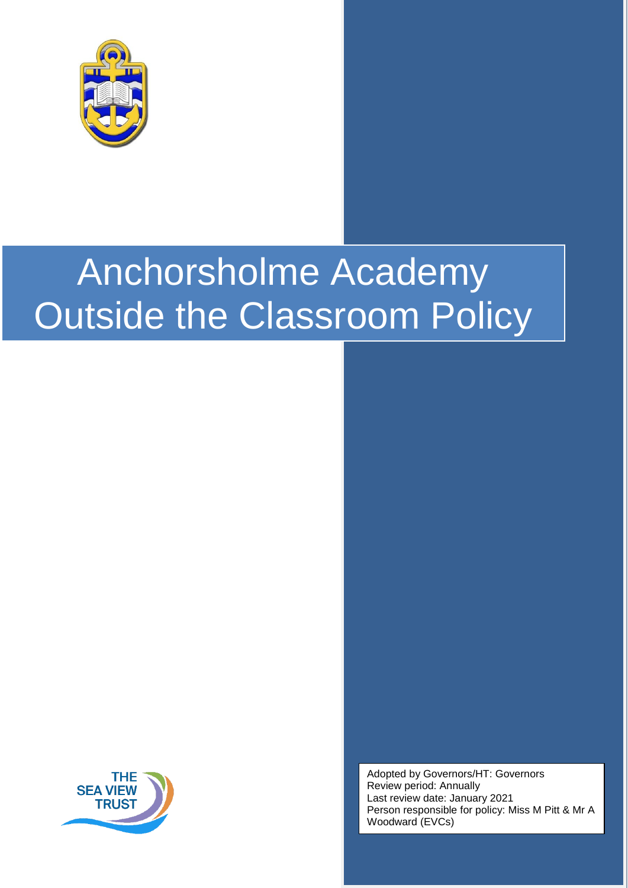



Adopted by Governors/HT: Governors Review period: Annually Last review date: January 2021 Person responsible for policy: Miss M Pitt & Mr A Woodward (EVCs)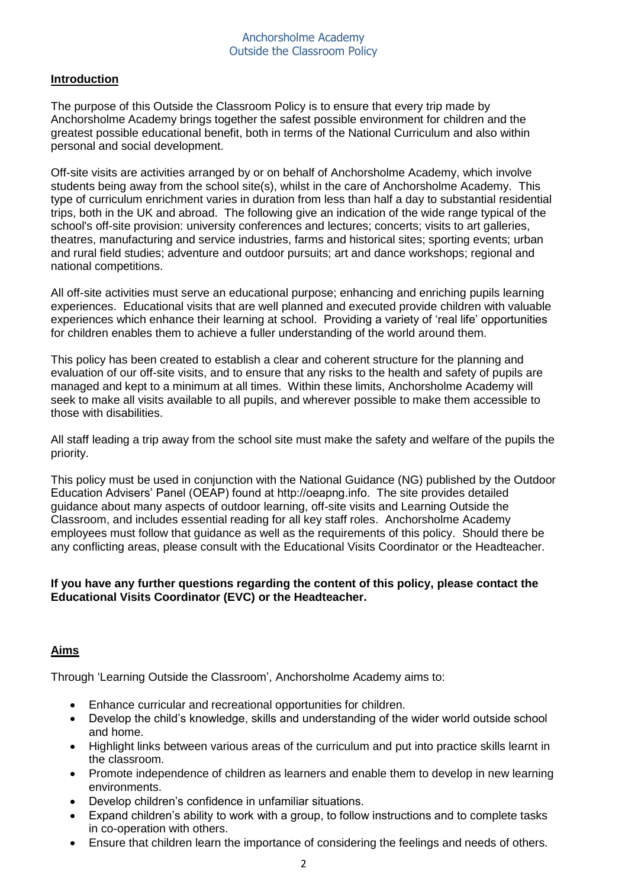# **Introduction**

The purpose of this Outside the Classroom Policy is to ensure that every trip made by Anchorsholme Academy brings together the safest possible environment for children and the greatest possible educational benefit, both in terms of the National Curriculum and also within personal and social development.

Off-site visits are activities arranged by or on behalf of Anchorsholme Academy, which involve students being away from the school site(s), whilst in the care of Anchorsholme Academy. This type of curriculum enrichment varies in duration from less than half a day to substantial residential trips, both in the UK and abroad. The following give an indication of the wide range typical of the school's off-site provision: university conferences and lectures; concerts; visits to art galleries, theatres, manufacturing and service industries, farms and historical sites; sporting events; urban and rural field studies; adventure and outdoor pursuits; art and dance workshops; regional and national competitions.

All off-site activities must serve an educational purpose; enhancing and enriching pupils learning experiences. Educational visits that are well planned and executed provide children with valuable experiences which enhance their learning at school. Providing a variety of 'real life' opportunities for children enables them to achieve a fuller understanding of the world around them.

This policy has been created to establish a clear and coherent structure for the planning and evaluation of our off-site visits, and to ensure that any risks to the health and safety of pupils are managed and kept to a minimum at all times. Within these limits, Anchorsholme Academy will seek to make all visits available to all pupils, and wherever possible to make them accessible to those with disabilities.

All staff leading a trip away from the school site must make the safety and welfare of the pupils the priority.

This policy must be used in conjunction with the National Guidance (NG) published by the Outdoor Education Advisers' Panel (OEAP) found at http://oeapng.info. The site provides detailed guidance about many aspects of outdoor learning, off-site visits and Learning Outside the Classroom, and includes essential reading for all key staff roles. Anchorsholme Academy employees must follow that guidance as well as the requirements of this policy. Should there be any conflicting areas, please consult with the Educational Visits Coordinator or the Headteacher.

# **If you have any further questions regarding the content of this policy, please contact the Educational Visits Coordinator (EVC) or the Headteacher.**

# **Aims**

Through 'Learning Outside the Classroom', Anchorsholme Academy aims to:

- Enhance curricular and recreational opportunities for children.
- Develop the child's knowledge, skills and understanding of the wider world outside school and home.
- Highlight links between various areas of the curriculum and put into practice skills learnt in the classroom.
- Promote independence of children as learners and enable them to develop in new learning environments.
- Develop children's confidence in unfamiliar situations.
- Expand children's ability to work with a group, to follow instructions and to complete tasks in co-operation with others.
- Ensure that children learn the importance of considering the feelings and needs of others.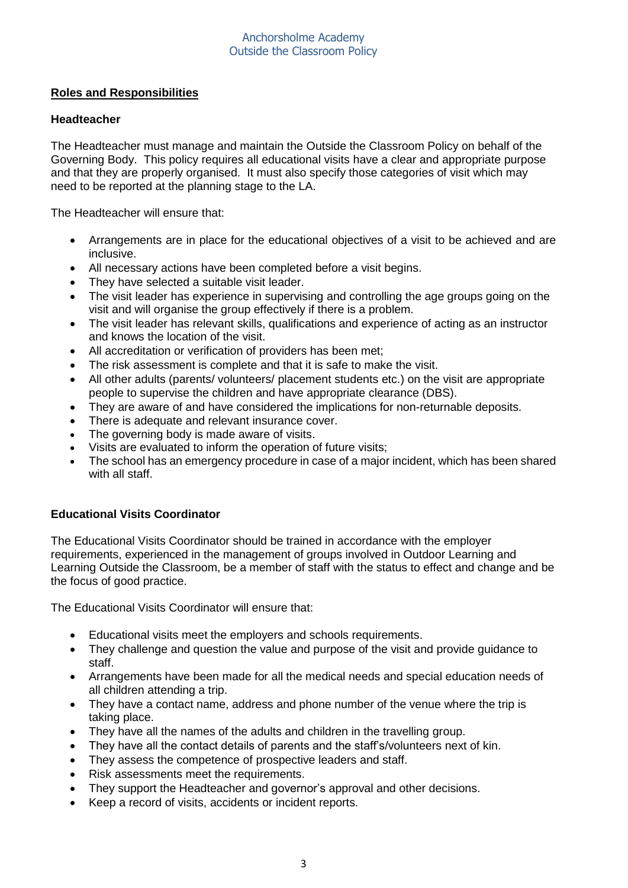# **Roles and Responsibilities**

# **Headteacher**

The Headteacher must manage and maintain the Outside the Classroom Policy on behalf of the Governing Body. This policy requires all educational visits have a clear and appropriate purpose and that they are properly organised. It must also specify those categories of visit which may need to be reported at the planning stage to the LA.

The Headteacher will ensure that:

- Arrangements are in place for the educational objectives of a visit to be achieved and are inclusive.
- All necessary actions have been completed before a visit begins.
- They have selected a suitable visit leader.
- The visit leader has experience in supervising and controlling the age groups going on the visit and will organise the group effectively if there is a problem.
- The visit leader has relevant skills, qualifications and experience of acting as an instructor and knows the location of the visit.
- All accreditation or verification of providers has been met;
- The risk assessment is complete and that it is safe to make the visit.
- All other adults (parents/ volunteers/ placement students etc.) on the visit are appropriate people to supervise the children and have appropriate clearance (DBS).
- They are aware of and have considered the implications for non-returnable deposits.
- There is adequate and relevant insurance cover.
- The governing body is made aware of visits.
- Visits are evaluated to inform the operation of future visits;
- The school has an emergency procedure in case of a major incident, which has been shared with all staff.

# **Educational Visits Coordinator**

The Educational Visits Coordinator should be trained in accordance with the employer requirements, experienced in the management of groups involved in Outdoor Learning and Learning Outside the Classroom, be a member of staff with the status to effect and change and be the focus of good practice.

The Educational Visits Coordinator will ensure that:

- Educational visits meet the employers and schools requirements.
- They challenge and question the value and purpose of the visit and provide guidance to staff.
- Arrangements have been made for all the medical needs and special education needs of all children attending a trip.
- They have a contact name, address and phone number of the venue where the trip is taking place.
- They have all the names of the adults and children in the travelling group.
- They have all the contact details of parents and the staff's/volunteers next of kin.
- They assess the competence of prospective leaders and staff.
- Risk assessments meet the requirements.
- They support the Headteacher and governor's approval and other decisions.
- Keep a record of visits, accidents or incident reports.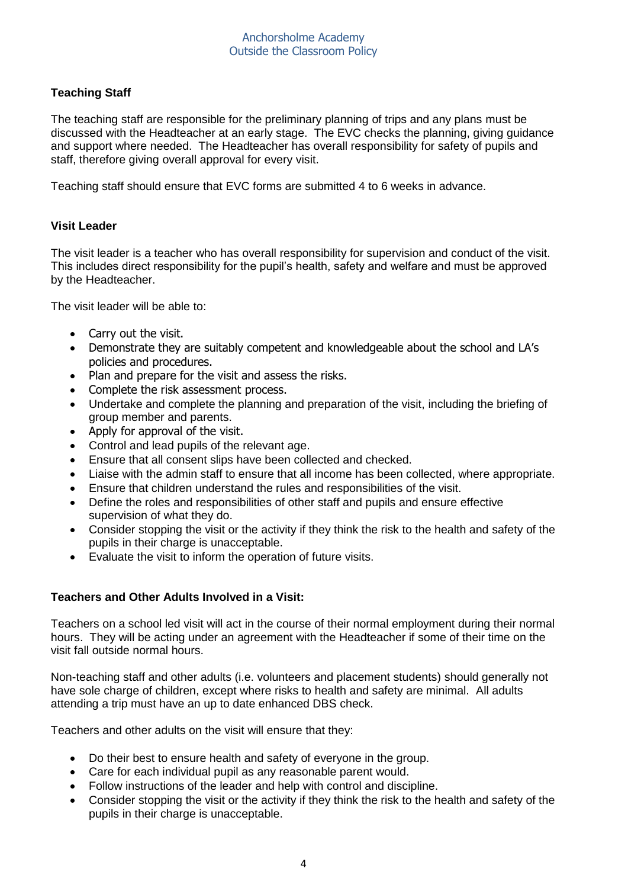# **Teaching Staff**

The teaching staff are responsible for the preliminary planning of trips and any plans must be discussed with the Headteacher at an early stage. The EVC checks the planning, giving guidance and support where needed. The Headteacher has overall responsibility for safety of pupils and staff, therefore giving overall approval for every visit.

Teaching staff should ensure that EVC forms are submitted 4 to 6 weeks in advance.

# **Visit Leader**

The visit leader is a teacher who has overall responsibility for supervision and conduct of the visit. This includes direct responsibility for the pupil's health, safety and welfare and must be approved by the Headteacher.

The visit leader will be able to:

- Carry out the visit.
- Demonstrate they are suitably competent and knowledgeable about the school and LA's policies and procedures.
- Plan and prepare for the visit and assess the risks.
- Complete the risk assessment process.
- Undertake and complete the planning and preparation of the visit, including the briefing of group member and parents.
- Apply for approval of the visit.
- Control and lead pupils of the relevant age.
- Ensure that all consent slips have been collected and checked.
- Liaise with the admin staff to ensure that all income has been collected, where appropriate.
- Ensure that children understand the rules and responsibilities of the visit.
- Define the roles and responsibilities of other staff and pupils and ensure effective supervision of what they do.
- Consider stopping the visit or the [activity if they think the risk to the health and s](http://www.blackpoolvisits.org/)afety of the pupils in their charge is unacceptable.
- Evaluate the visit to inform the operation of future visits.

## **Teachers and Other Adults Involved in a Visit:**

Teachers on a school led visit will act in the course of their normal employment during their normal hours. They will be acting under an agreement with the Headteacher if some of their time on the visit fall outside normal hours.

Non-teaching staff and other adults (i.e. volunteers and placement students) should generally not have sole charge of children, except where risks to health and safety are minimal. All adults attending a trip must have an up to date enhanced DBS check.

Teachers and other adults on the visit will ensure that they:

- Do their best to ensure health and safety of everyone in the group.
- Care for each individual pupil as any reasonable parent would.
- Follow instructions of the leader and help with control and discipline.
- Consider stopping the visit or the activity if they think the risk to the health and safety of the pupils in their charge is unacceptable.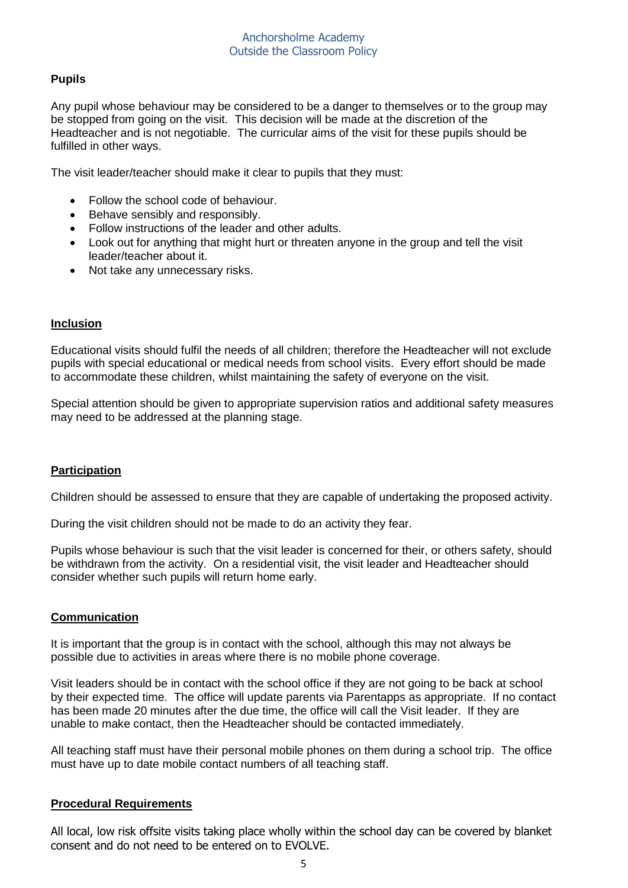# **Pupils**

Any pupil whose behaviour may be considered to be a danger to themselves or to the group may be stopped from going on the visit. This decision will be made at the discretion of the Headteacher and is not negotiable. The curricular aims of the visit for these pupils should be fulfilled in other ways.

The visit leader/teacher should make it clear to pupils that they must:

- Follow the school code of behaviour.
- Behave sensibly and responsibly.
- Follow instructions of the leader and other adults.
- Look out for anything that might hurt or threaten anyone in the group and tell the visit leader/teacher about it.
- Not take any unnecessary risks.

## **Inclusion**

Educational visits should fulfil the needs of all children; therefore the Headteacher will not exclude pupils with special educational or medical needs from school visits. Every effort should be made to accommodate these children, whilst maintaining the safety of everyone on the visit.

Special attention should be given to appropriate supervision ratios and additional safety measures may need to be addressed at the planning stage.

## **Participation**

Children should be assessed to ensure that they are capable of undertaking the proposed activity.

During the visit children should not be made to do an activity they fear.

Pupils whose behaviour is such that the visit leader is concerned for their, or others safety, should be withdrawn from the activity. On a residential visit, the visit leader and Headteacher should consider whether such pupils will return home early.

## **Communication**

It is important that the group is in contact with the school, although this may not always be possible due to activities in areas where there is no mobile phone coverage.

Visit leaders should be in contact with the school office if they are not going to be back at school by their expected time. The office will update parents via Parentapps as appropriate. If no contact has been made 20 minutes after the due time, the office will call the Visit leader. If they are unable to make contact, then the Headteacher should be contacted immediately.

All teaching staff must have their personal mobile phones on them during a school trip. The office must have up to date mobile contact numbers of all teaching staff.

## **Procedural Requirements**

All local, low risk offsite visits taking place wholly within the school day can be covered by blanket consent and do not need to be entered on to EVOLVE.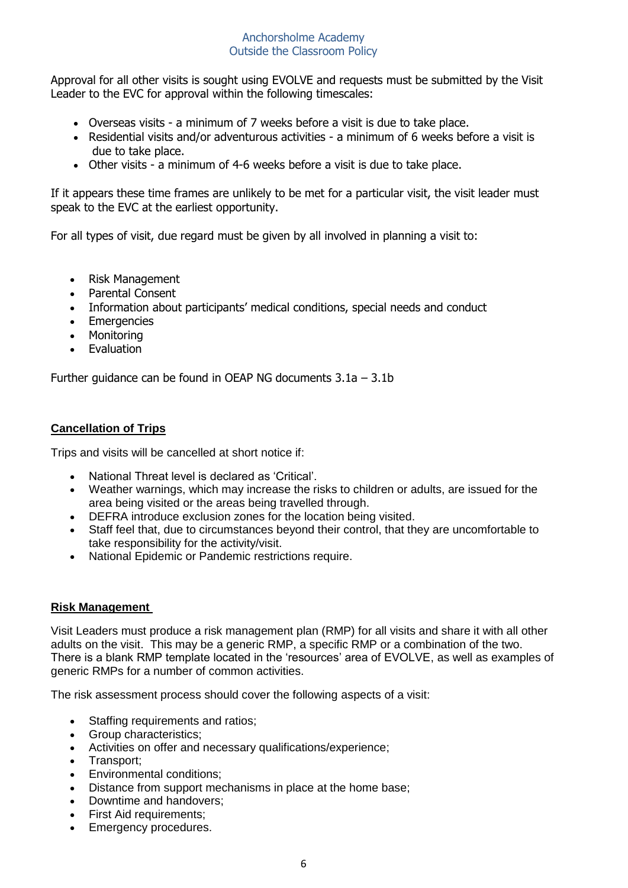Approval for all other visits is sought using EVOLVE and requests must be submitted by the Visit Leader to the EVC for approval within the following timescales:

- Overseas visits a minimum of 7 weeks before a visit is due to take place.
- Residential visits and/or adventurous activities a minimum of 6 weeks before a visit is due to take place.
- Other visits a minimum of 4-6 weeks before a visit is due to take place.

If it appears these time frames are unlikely to be met for a particular visit, the visit leader must speak to the EVC at the earliest opportunity.

For all types of visit, due regard must be given by all involved in planning a visit to:

- Risk Management
- Parental Consent
- Information about participants' medical conditions, special needs and conduct
- Emergencies
- Monitoring
- Evaluation

Further guidance can be found in OEAP NG documents 3.1a – 3.1b

# **Cancellation of Trips**

Trips and visits will be cancelled at short notice if:

- National Threat level is declared as 'Critical'.
- Weather warnings, which may increase the risks to children or adults, are issued for the area being visited or the areas being travelled through.
- DEFRA introduce exclusion zones for the location being visited.
- Staff feel that, due to circumstances beyond their control, that they are uncomfortable to take responsibility for the activity/visit.
- National Epidemic or Pandemic restrictions require.

## **Risk Management**

Visit Leaders must produce a risk management plan (RMP) for all visits and share it with all other adults on the visit. This may be a generic RMP, a specific RMP or a combination of the two. There is a blank RMP template located in the 'resources' area of EVOLVE, as well as examples of generic RMPs for a number of common activities.

The risk assessment process should cover the following aspects of a visit:

- Staffing requirements and ratios;
- Group characteristics;
- Activities on offer and necessary qualifications/experience;
- Transport:
- Environmental conditions;
- Distance from support mechanisms in place at the home base;
- Downtime and handovers;
- First Aid requirements:
- Emergency procedures.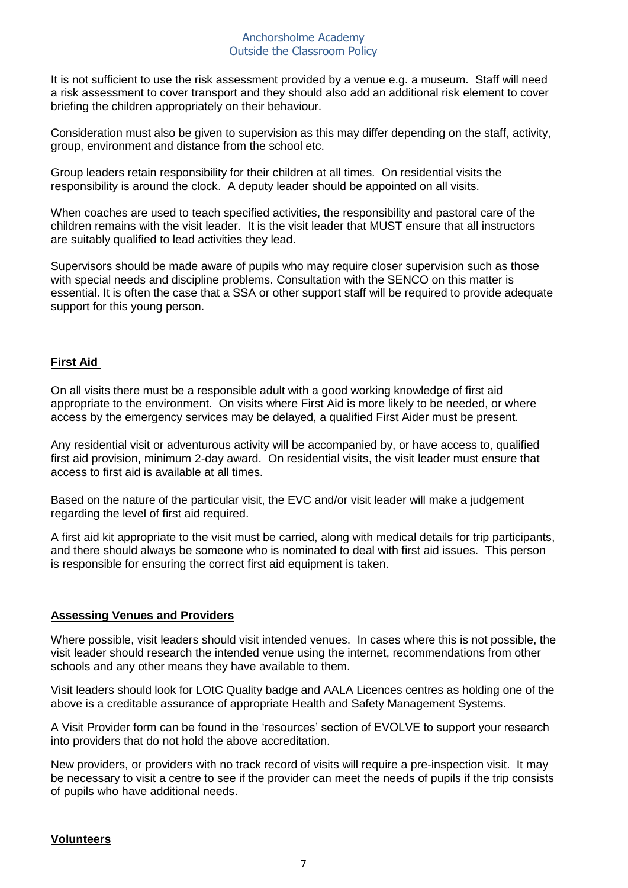It is not sufficient to use the risk assessment provided by a venue e.g. a museum. Staff will need a risk assessment to cover transport and they should also add an additional risk element to cover briefing the children appropriately on their behaviour.

Consideration must also be given to supervision as this may differ depending on the staff, activity, group, environment and distance from the school etc.

Group leaders retain responsibility for their children at all times. On residential visits the responsibility is around the clock. A deputy leader should be appointed on all visits.

When coaches are used to teach specified activities, the responsibility and pastoral care of the children remains with the visit leader. It is the visit leader that MUST ensure that all instructors are suitably qualified to lead activities they lead.

Supervisors should be made aware of pupils who may require closer supervision such as those with special needs and discipline problems. Consultation with the SENCO on this matter is essential. It is often the case that a SSA or other support staff will be required to provide adequate support for this young person.

# **First Aid**

On all visits there must be a responsible adult with a good working knowledge of first aid appropriate to the environment. On visits where First Aid is more likely to be needed, or where access by the emergency services may be delayed, a qualified First Aider must be present.

Any residential visit or adventurous activity will be accompanied by, or have access to, qualified first aid provision, minimum 2-day award. On residential visits, the visit leader must ensure that access to first aid is available at all times.

Based on the nature of the particular visit, the EVC and/or visit leader will make a judgement regarding the level of first aid required.

A first aid kit appropriate to the visit must be carried, along with medical details for trip participants, and there should always be someone who is nominated to deal with first aid issues. This person is responsible for ensuring the correct first aid equipment is taken.

## **Assessing Venues and Providers**

Where possible, visit leaders should visit intended venues. In cases where this is not possible, the visit leader should research the intended venue using the internet, recommendations from other schools and any other means they have available to them.

Visit leaders should look for LOtC Quality badge and AALA Licences centres as holding one of the above is a creditable assurance of appropriate Health and Safety Management Systems.

A Visit Provider form can be found in the 'resources' section of EVOLVE to support your research into providers that do not hold the above accreditation.

New providers, or providers with no track record of visits will require a pre-inspection visit. It may be necessary to visit a centre to see if the provider can meet the needs of pupils if the trip consists of pupils who have additional needs.

## **Volunteers**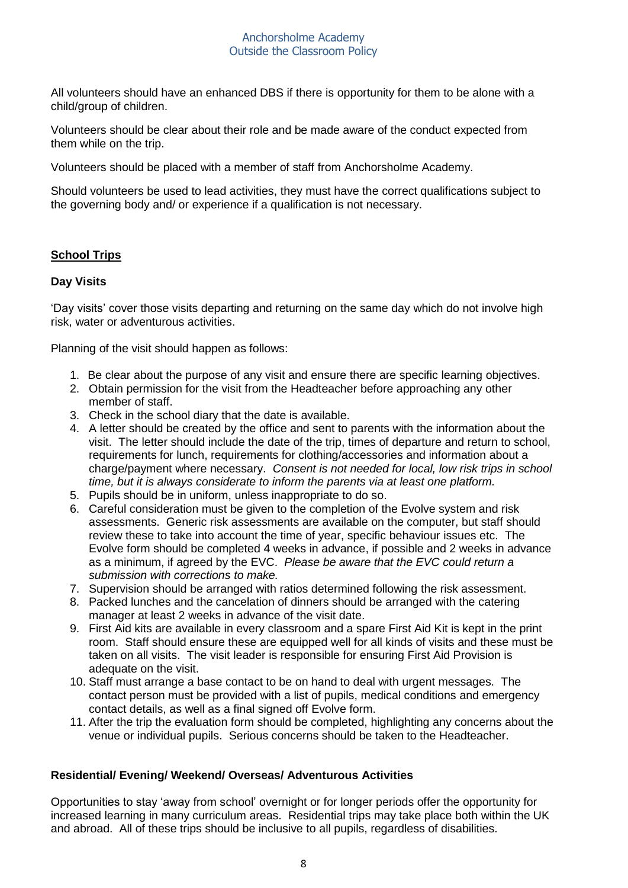All volunteers should have an enhanced DBS if there is opportunity for them to be alone with a child/group of children.

Volunteers should be clear about their role and be made aware of the conduct expected from them while on the trip.

Volunteers should be placed with a member of staff from Anchorsholme Academy.

Should volunteers be used to lead activities, they must have the correct qualifications subject to the governing body and/ or experience if a qualification is not necessary.

# **School Trips**

## **Day Visits**

'Day visits' cover those visits departing and returning on the same day which do not involve high risk, water or adventurous activities.

Planning of the visit should happen as follows:

- 1. Be clear about the purpose of any visit and ensure there are specific learning objectives.
- 2. Obtain permission for the visit from the Headteacher before approaching any other member of staff.
- 3. Check in the school diary that the date is available.
- 4. A letter should be created by the office and sent to parents with the information about the visit. The letter should include the date of the trip, times of departure and return to school, requirements for lunch, requirements for clothing/accessories and information about a charge/payment where necessary. *Consent is not needed for local, low risk trips in school time, but it is always considerate to inform the parents via at least one platform.*
- 5. Pupils should be in uniform, unless inappropriate to do so.
- 6. Careful consideration must be given to the completion of the Evolve system and risk assessments. Generic risk assessments are available on the computer, but staff should review these to take into account the time of year, specific behaviour issues etc. The Evolve form should be completed 4 weeks in advance, if possible and 2 weeks in advance as a minimum, if agreed by the EVC. *Please be aware that the EVC could return a submission with corrections to make.*
- 7. Supervision should be arranged with ratios determined following the risk assessment.
- 8. Packed lunches and the cancelation of dinners should be arranged with the catering manager at least 2 weeks in advance of the visit date.
- 9. First Aid kits are available in every classroom and a spare First Aid Kit is kept in the print room. Staff should ensure these are equipped well for all kinds of visits and these must be taken on all visits. The visit leader is responsible for ensuring First Aid Provision is adequate on the visit.
- 10. Staff must arrange a base contact to be on hand to deal with urgent messages. The contact person must be provided with a list of pupils, medical conditions and emergency contact details, as well as a final signed off Evolve form.
- 11. After the trip the evaluation form should be completed, highlighting any concerns about the venue or individual pupils. Serious concerns should be taken to the Headteacher.

## **Residential/ Evening/ Weekend/ Overseas/ Adventurous Activities**

Opportunities to stay 'away from school' overnight or for longer periods offer the opportunity for increased learning in many curriculum areas. Residential trips may take place both within the UK and abroad. All of these trips should be inclusive to all pupils, regardless of disabilities.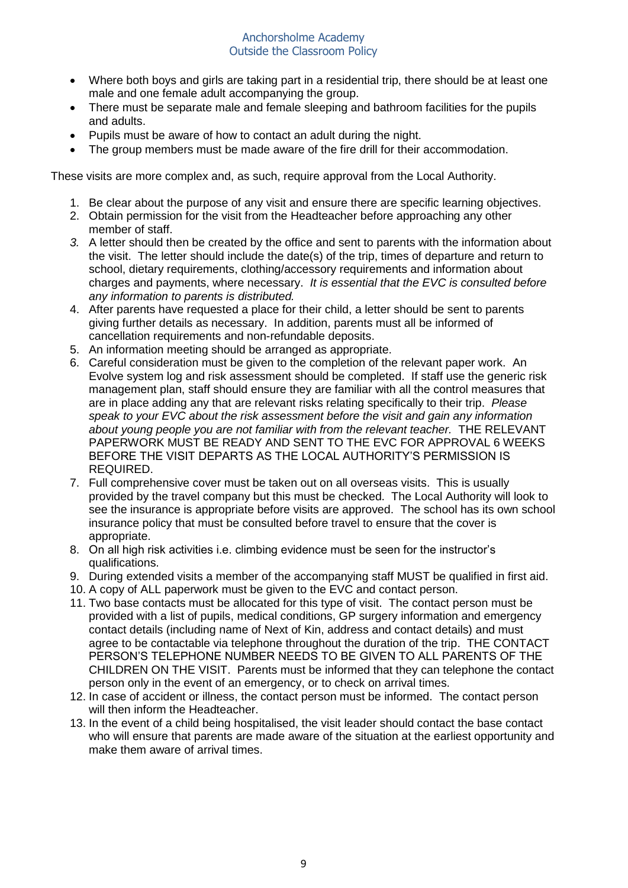- Where both boys and girls are taking part in a residential trip, there should be at least one male and one female adult accompanying the group.
- There must be separate male and female sleeping and bathroom facilities for the pupils and adults.
- Pupils must be aware of how to contact an adult during the night.
- The group members must be made aware of the fire drill for their accommodation.

These visits are more complex and, as such, require approval from the Local Authority.

- 1. Be clear about the purpose of any visit and ensure there are specific learning objectives.
- 2. Obtain permission for the visit from the Headteacher before approaching any other member of staff.
- *3.* A letter should then be created by the office and sent to parents with the information about the visit. The letter should include the date(s) of the trip, times of departure and return to school, dietary requirements, clothing/accessory requirements and information about charges and payments, where necessary. *It is essential that the EVC is consulted before any information to parents is distributed.*
- 4. After parents have requested a place for their child, a letter should be sent to parents giving further details as necessary. In addition, parents must all be informed of cancellation requirements and non-refundable deposits.
- 5. An information meeting should be arranged as appropriate.
- 6. Careful consideration must be given to the completion of the relevant paper work. An Evolve system log and risk assessment should be completed. If staff use the generic risk management plan, staff should ensure they are familiar with all the control measures that are in place adding any that are relevant risks relating specifically to their trip. *Please speak to your EVC about the risk assessment before the visit and gain any information about young people you are not familiar with from the relevant teacher.* THE RELEVANT PAPERWORK MUST BE READY AND SENT TO THE EVC FOR APPROVAL 6 WEEKS BEFORE THE VISIT DEPARTS AS THE LOCAL AUTHORITY'S PERMISSION IS REQUIRED.
- 7. Full comprehensive cover must be taken out on all overseas visits. This is usually provided by the travel company but this must be checked. The Local Authority will look to see the insurance is appropriate before visits are approved. The school has its own school insurance policy that must be consulted before travel to ensure that the cover is appropriate.
- 8. On all high risk activities i.e. climbing evidence must be seen for the instructor's qualifications.
- 9. During extended visits a member of the accompanying staff MUST be qualified in first aid.
- 10. A copy of ALL paperwork must be given to the EVC and contact person.
- 11. Two base contacts must be allocated for this type of visit. The contact person must be provided with a list of pupils, medical conditions, GP surgery information and emergency contact details (including name of Next of Kin, address and contact details) and must agree to be contactable via telephone throughout the duration of the trip. THE CONTACT PERSON'S TELEPHONE NUMBER NEEDS TO BE GIVEN TO ALL PARENTS OF THE CHILDREN ON THE VISIT. Parents must be informed that they can telephone the contact person only in the event of an emergency, or to check on arrival times.
- 12. In case of accident or illness, the contact person must be informed. The contact person will then inform the Headteacher.
- 13. In the event of a child being hospitalised, the visit leader should contact the base contact who will ensure that parents are made aware of the situation at the earliest opportunity and make them aware of arrival times.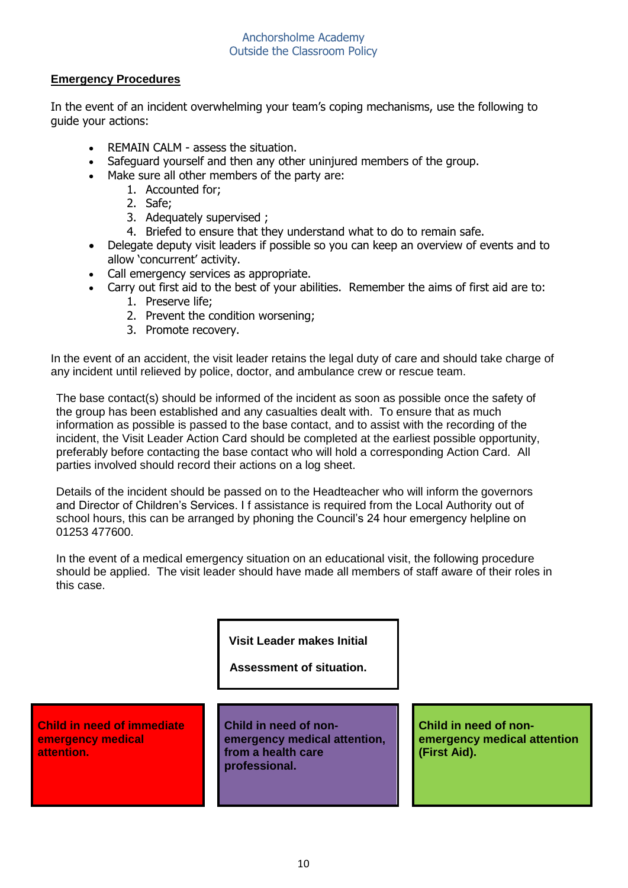# **Emergency Procedures**

In the event of an incident overwhelming your team's coping mechanisms, use the following to guide your actions:

- REMAIN CALM assess the situation.
- Safeguard yourself and then any other uninjured members of the group.
- Make sure all other members of the party are:
	- 1. Accounted for;
	- 2. Safe;
	- 3. Adequately supervised ;
	- 4. Briefed to ensure that they understand what to do to remain safe.
- Delegate deputy visit leaders if possible so you can keep an overview of events and to allow 'concurrent' activity.
- Call emergency services as appropriate.
- Carry out first aid to the best of your abilities. Remember the aims of first aid are to:
	- 1. Preserve life;
	- 2. Prevent the condition worsening;
	- 3. Promote recovery.

In the event of an accident, the visit leader retains the legal duty of care and should take charge of any incident until relieved by police, doctor, and ambulance crew or rescue team.

The base contact(s) should be informed of the incident as soon as possible once the safety of the group has been established and any casualties dealt with. To ensure that as much information as possible is passed to the base contact, and to assist with the recording of the incident, the Visit Leader Action Card should be completed at the earliest possible opportunity, preferably before contacting the base contact who will hold a corresponding Action Card. All parties involved should record their actions on a log sheet.

Details of the incident should be passed on to the Headteacher who will inform the governors and Director of Children's Services. I f assistance is required from the Local Authority out of school hours, this can be arranged by phoning the Council's 24 hour emergency helpline on 01253 477600.

In the event of a medical emergency situation on an educational visit, the following procedure should be applied. The visit leader should have made all members of staff aware of their roles in this case.

**Visit Leader makes Initial**

# **Assessment of situation.**

#### **Child in need of immediate emergency medical attention.**

**Child in need of nonemergency medical attention, from a health care professional.**

**Child in need of nonemergency medical attention (First Aid).**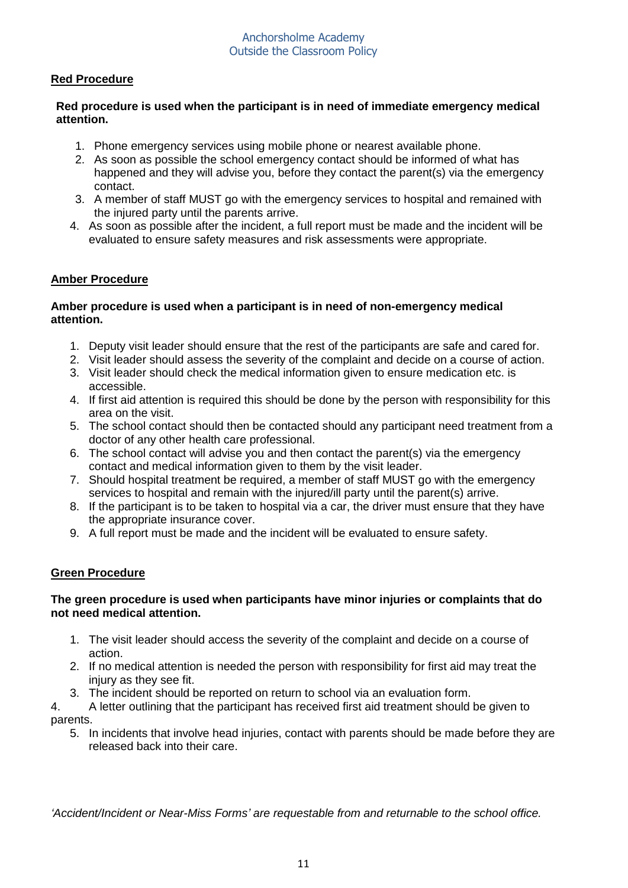# **Red Procedure**

# **Red procedure is used when the participant is in need of immediate emergency medical attention.**

- 1. Phone emergency services using mobile phone or nearest available phone.
- 2. As soon as possible the school emergency contact should be informed of what has happened and they will advise you, before they contact the parent(s) via the emergency contact.
- 3. A member of staff MUST go with the emergency services to hospital and remained with the injured party until the parents arrive.
- 4. As soon as possible after the incident, a full report must be made and the incident will be evaluated to ensure safety measures and risk assessments were appropriate.

# **Amber Procedure**

## **Amber procedure is used when a participant is in need of non-emergency medical attention.**

- 1. Deputy visit leader should ensure that the rest of the participants are safe and cared for.
- 2. Visit leader should assess the severity of the complaint and decide on a course of action.
- 3. Visit leader should check the medical information given to ensure medication etc. is accessible.
- 4. If first aid attention is required this should be done by the person with responsibility for this area on the visit.
- 5. The school contact should then be contacted should any participant need treatment from a doctor of any other health care professional.
- 6. The school contact will advise you and then contact the parent(s) via the emergency contact and medical information given to them by the visit leader.
- 7. Should hospital treatment be required, a member of staff MUST go with the emergency services to hospital and remain with the injured/ill party until the parent(s) arrive.
- 8. If the participant is to be taken to hospital via a car, the driver must ensure that they have the appropriate insurance cover.
- 9. A full report must be made and the incident will be evaluated to ensure safety.

# **Green Procedure**

## **The green procedure is used when participants have minor injuries or complaints that do not need medical attention.**

- 1. The visit leader should access the severity of the complaint and decide on a course of action.
- 2. If no medical attention is needed the person with responsibility for first aid may treat the injury as they see fit.
- 3. The incident should be reported on return to school via an evaluation form.
- 4. A letter outlining that the participant has received first aid treatment should be given to parents.
	- 5. In incidents that involve head injuries, contact with parents should be made before they are released back into their care.

*'Accident/Incident or Near-Miss Forms' are requestable from and returnable to the school office.*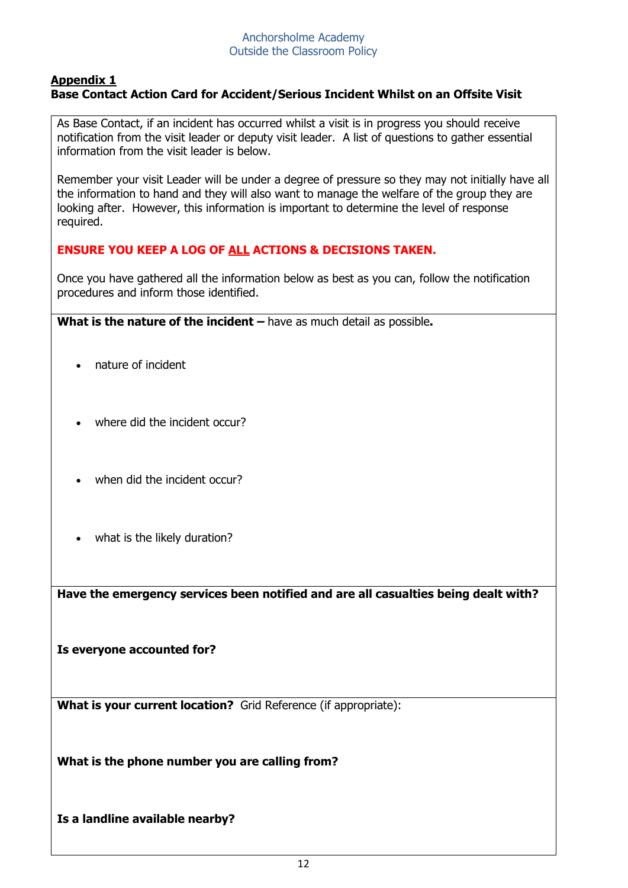# **Appendix 1 Base Contact Action Card for Accident/Serious Incident Whilst on an Offsite Visit**

As Base Contact, if an incident has occurred whilst a visit is in progress you should receive notification from the visit leader or deputy visit leader. A list of questions to gather essential information from the visit leader is below.

Remember your visit Leader will be under a degree of pressure so they may not initially have all the information to hand and they will also want to manage the welfare of the group they are looking after. However, this information is important to determine the level of response required.

# **ENSURE YOU KEEP A LOG OF ALL ACTIONS & DECISIONS TAKEN.**

Once you have gathered all the information below as best as you can, follow the notification procedures and inform those identified.

**What is the nature of the incident** – have as much detail as possible.

- nature of incident
- where did the incident occur?
- when did the incident occur?
- what is the likely duration?

**Have the emergency services been notified and are all casualties being dealt with?**

**Is everyone accounted for?**

**What is your current location?** Grid Reference (if appropriate):

**What is the phone number you are calling from?**

**Is a landline available nearby?**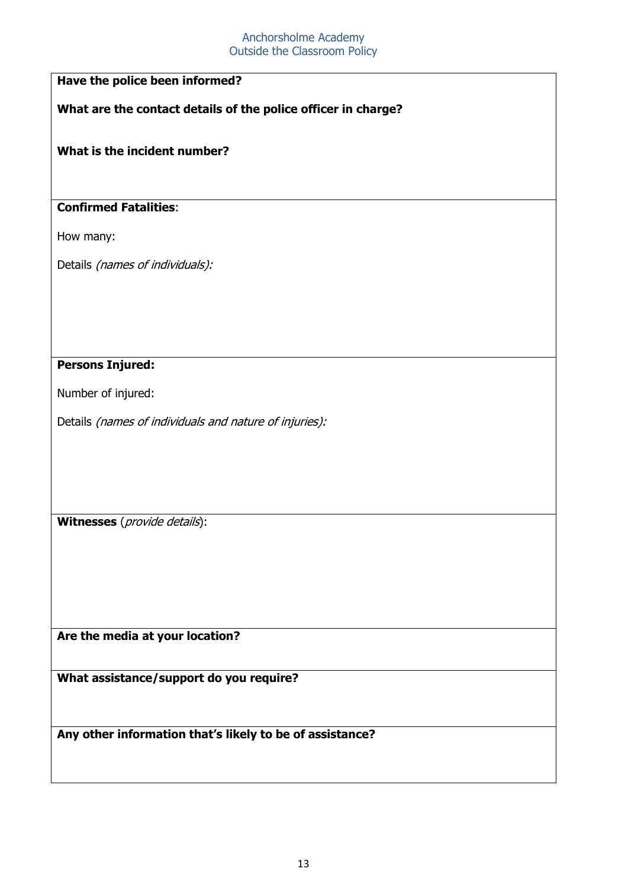# **Have the police been informed?**

**What are the contact details of the police officer in charge?**

# **What is the incident number?**

# **Confirmed Fatalities**:

How many:

Details (names of individuals):

## **Persons Injured:**

Number of injured:

Details (names of individuals and nature of injuries):

**Witnesses** (provide details):

**Are the media at your location?**

**What assistance/support do you require?**

**Any other information that's likely to be of assistance?**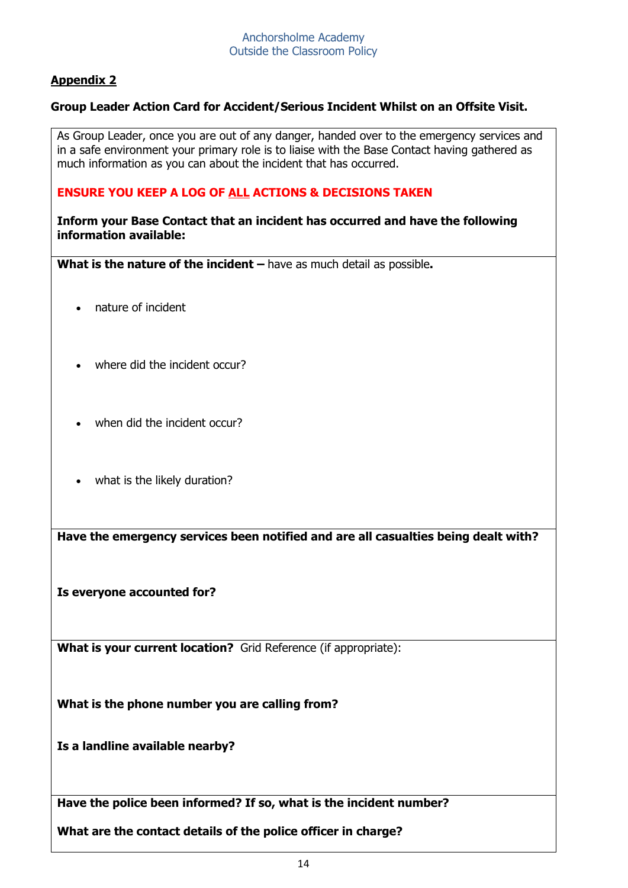# **Appendix 2**

# **Group Leader Action Card for Accident/Serious Incident Whilst on an Offsite Visit.**

As Group Leader, once you are out of any danger, handed over to the emergency services and in a safe environment your primary role is to liaise with the Base Contact having gathered as much information as you can about the incident that has occurred.

# **ENSURE YOU KEEP A LOG OF ALL ACTIONS & DECISIONS TAKEN**

**Inform your Base Contact that an incident has occurred and have the following information available:**

**What is the nature of the incident** – have as much detail as possible.

- nature of incident
- where did the incident occur?
- when did the incident occur?
- what is the likely duration?

**Have the emergency services been notified and are all casualties being dealt with?**

**Is everyone accounted for?**

**What is your current location?** Grid Reference (if appropriate):

**What is the phone number you are calling from?**

**Is a landline available nearby?**

**Have the police been informed? If so, what is the incident number?**

**What are the contact details of the police officer in charge?**